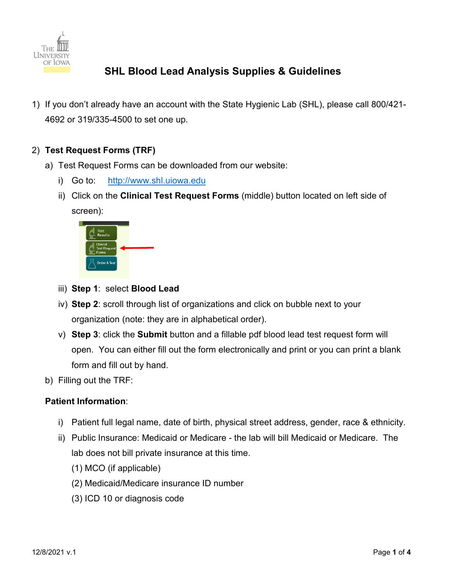

- 1) If you don't already have an account with the State Hygienic Lab (SHL), please call 800/421- 4692 or 319/335-4500 to set one up.
- 2) **Test Request Forms (TRF)**
	- a) Test Request Forms can be downloaded from our website:
		- i) Go to: [http://www.shl.uiowa.edu](http://www.shl.uiowa.edu/)
		- ii) Click on the **Clinical Test Request Forms** (middle) button located on left side of screen):



- iii) **Step 1**: select **Blood Lead**
- iv) **Step 2**: scroll through list of organizations and click on bubble next to your organization (note: they are in alphabetical order).
- v) **Step 3**: click the **Submit** button and a fillable pdf blood lead test request form will open. You can either fill out the form electronically and print or you can print a blank form and fill out by hand.
- b) Filling out the TRF:

### **Patient Information**:

- i) Patient full legal name, date of birth, physical street address, gender, race & ethnicity.
- ii) Public Insurance: Medicaid or Medicare the lab will bill Medicaid or Medicare. The lab does not bill private insurance at this time.
	- (1) MCO (if applicable)
	- (2) Medicaid/Medicare insurance ID number
	- (3) ICD 10 or diagnosis code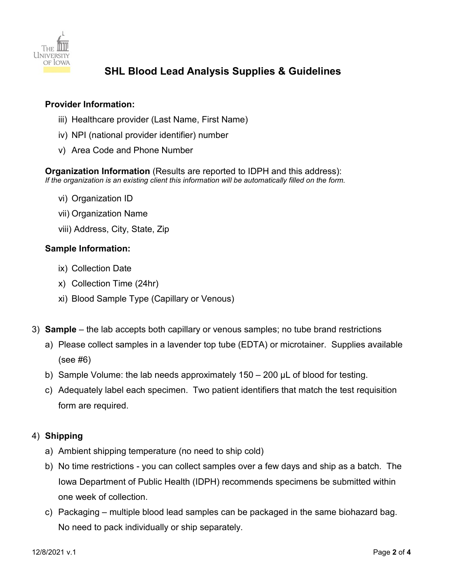

#### **Provider Information:**

- iii) Healthcare provider (Last Name, First Name)
- iv) NPI (national provider identifier) number
- v) Area Code and Phone Number

**Organization Information** (Results are reported to IDPH and this address): *If the organization is an existing client this information will be automatically filled on the form.*

- vi) Organization ID
- vii) Organization Name
- viii) Address, City, State, Zip

#### **Sample Information:**

- ix) Collection Date
- x) Collection Time (24hr)
- xi) Blood Sample Type (Capillary or Venous)
- 3) **Sample** the lab accepts both capillary or venous samples; no tube brand restrictions
	- a) Please collect samples in a lavender top tube (EDTA) or microtainer. Supplies available (see #6)
	- b) Sample Volume: the lab needs approximately 150 200 µL of blood for testing.
	- c) Adequately label each specimen. Two patient identifiers that match the test requisition form are required.

### 4) **Shipping**

- a) Ambient shipping temperature (no need to ship cold)
- b) No time restrictions you can collect samples over a few days and ship as a batch. The Iowa Department of Public Health (IDPH) recommends specimens be submitted within one week of collection.
- c) Packaging multiple blood lead samples can be packaged in the same biohazard bag. No need to pack individually or ship separately.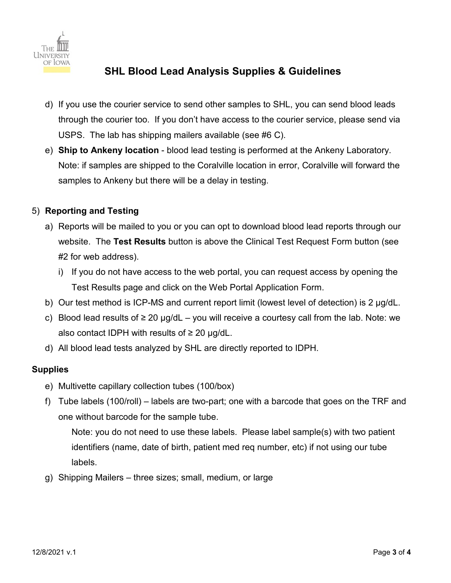

- d) If you use the courier service to send other samples to SHL, you can send blood leads through the courier too. If you don't have access to the courier service, please send via USPS. The lab has shipping mailers available (see #6 C).
- e) **Ship to Ankeny location** blood lead testing is performed at the Ankeny Laboratory. Note: if samples are shipped to the Coralville location in error, Coralville will forward the samples to Ankeny but there will be a delay in testing.

### 5) **Reporting and Testing**

- a) Reports will be mailed to you or you can opt to download blood lead reports through our website. The **Test Results** button is above the Clinical Test Request Form button (see #2 for web address).
	- i) If you do not have access to the web portal, you can request access by opening the Test Results page and click on the Web Portal Application Form.
- b) Our test method is ICP-MS and current report limit (lowest level of detection) is 2 µg/dL.
- c) Blood lead results of  $\geq 20$  µg/dL you will receive a courtesy call from the lab. Note: we also contact IDPH with results of  $\geq 20$  µg/dL.
- d) All blood lead tests analyzed by SHL are directly reported to IDPH.

### **Supplies**

- e) Multivette capillary collection tubes (100/box)
- f) Tube labels (100/roll) labels are two-part; one with a barcode that goes on the TRF and one without barcode for the sample tube.

Note: you do not need to use these labels. Please label sample(s) with two patient identifiers (name, date of birth, patient med req number, etc) if not using our tube labels.

g) Shipping Mailers – three sizes; small, medium, or large